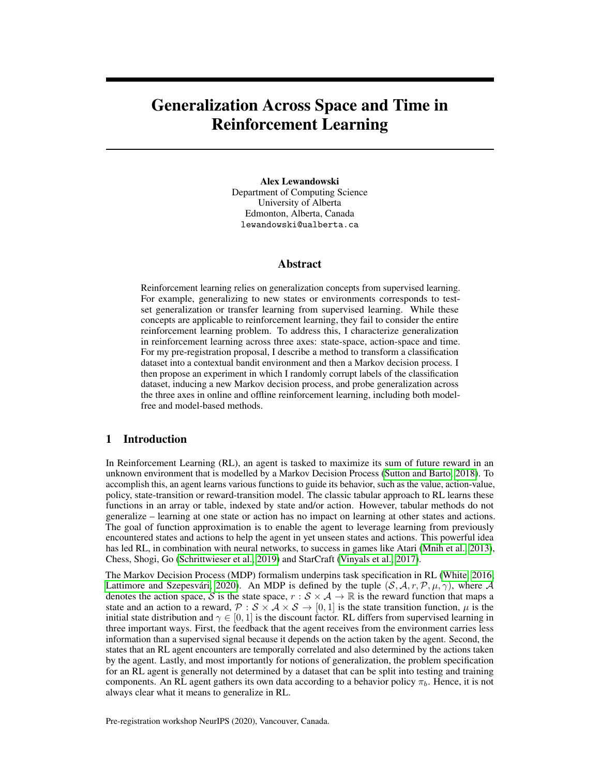# Generalization Across Space and Time in Reinforcement Learning

Alex Lewandowski Department of Computing Science University of Alberta Edmonton, Alberta, Canada lewandowski@ualberta.ca

### Abstract

Reinforcement learning relies on generalization concepts from supervised learning. For example, generalizing to new states or environments corresponds to testset generalization or transfer learning from supervised learning. While these concepts are applicable to reinforcement learning, they fail to consider the entire reinforcement learning problem. To address this, I characterize generalization in reinforcement learning across three axes: state-space, action-space and time. For my pre-registration proposal, I describe a method to transform a classification dataset into a contextual bandit environment and then a Markov decision process. I then propose an experiment in which I randomly corrupt labels of the classification dataset, inducing a new Markov decision process, and probe generalization across the three axes in online and offline reinforcement learning, including both modelfree and model-based methods.

### 1 Introduction

In Reinforcement Learning (RL), an agent is tasked to maximize its sum of future reward in an unknown environment that is modelled by a Markov Decision Process [\(Sutton and Barto, 2018\)](#page-6-0). To accomplish this, an agent learns various functions to guide its behavior, such as the value, action-value, policy, state-transition or reward-transition model. The classic tabular approach to RL learns these functions in an array or table, indexed by state and/or action. However, tabular methods do not generalize – learning at one state or action has no impact on learning at other states and actions. The goal of function approximation is to enable the agent to leverage learning from previously encountered states and actions to help the agent in yet unseen states and actions. This powerful idea has led RL, in combination with neural networks, to success in games like Atari [\(Mnih et al., 2013\)](#page-6-1), Chess, Shogi, Go [\(Schrittwieser et al., 2019\)](#page-6-2) and StarCraft [\(Vinyals et al., 2017\)](#page-6-3).

The Markov Decision Process (MDP) formalism underpins task specification in RL [\(White, 2016;](#page-6-4) [Lattimore and Szepesvári, 2020\)](#page-6-5). An MDP is defined by the tuple  $(S, \mathcal{A}, r, \mathcal{P}, \mu, \gamma)$ , where A denotes the action space, S is the state space,  $r : S \times A \rightarrow \mathbb{R}$  is the reward function that maps a state and an action to a reward,  $\mathcal{P}: \mathcal{S} \times \mathcal{A} \times \mathcal{S} \rightarrow [0, 1]$  is the state transition function,  $\mu$  is the initial state distribution and  $\gamma \in [0, 1]$  is the discount factor. RL differs from supervised learning in three important ways. First, the feedback that the agent receives from the environment carries less information than a supervised signal because it depends on the action taken by the agent. Second, the states that an RL agent encounters are temporally correlated and also determined by the actions taken by the agent. Lastly, and most importantly for notions of generalization, the problem specification for an RL agent is generally not determined by a dataset that can be split into testing and training components. An RL agent gathers its own data according to a behavior policy  $\pi_b$ . Hence, it is not always clear what it means to generalize in RL.

Pre-registration workshop NeurIPS (2020), Vancouver, Canada.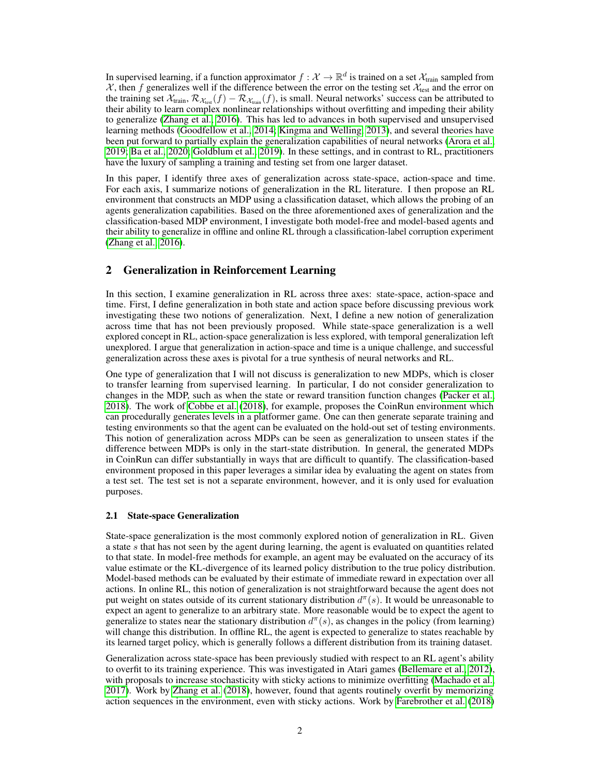In supervised learning, if a function approximator  $f:\mathcal{X}\to\mathbb{R}^d$  is trained on a set  $\mathcal{X}_{\text{train}}$  sampled from  $X$ , then f generalizes well if the difference between the error on the testing set  $X_{test}$  and the error on the training set  $\mathcal{X}_{train}, \mathcal{R}_{\mathcal{X}_{test}}(f) - \mathcal{R}_{\mathcal{X}_{train}}(f)$ , is small. Neural networks' success can be attributed to their ability to learn complex nonlinear relationships without overfitting and impeding their ability to generalize [\(Zhang et al., 2016\)](#page-6-6). This has led to advances in both supervised and unsupervised learning methods [\(Goodfellow et al., 2014;](#page-5-0) [Kingma and Welling, 2013\)](#page-6-7), and several theories have been put forward to partially explain the generalization capabilities of neural networks [\(Arora et al.,](#page-5-1) [2019;](#page-5-1) [Ba et al., 2020;](#page-5-2) [Goldblum et al., 2019\)](#page-5-3). In these settings, and in contrast to RL, practitioners have the luxury of sampling a training and testing set from one larger dataset.

In this paper, I identify three axes of generalization across state-space, action-space and time. For each axis, I summarize notions of generalization in the RL literature. I then propose an RL environment that constructs an MDP using a classification dataset, which allows the probing of an agents generalization capabilities. Based on the three aforementioned axes of generalization and the classification-based MDP environment, I investigate both model-free and model-based agents and their ability to generalize in offline and online RL through a classification-label corruption experiment [\(Zhang et al., 2016\)](#page-6-6).

### 2 Generalization in Reinforcement Learning

In this section, I examine generalization in RL across three axes: state-space, action-space and time. First, I define generalization in both state and action space before discussing previous work investigating these two notions of generalization. Next, I define a new notion of generalization across time that has not been previously proposed. While state-space generalization is a well explored concept in RL, action-space generalization is less explored, with temporal generalization left unexplored. I argue that generalization in action-space and time is a unique challenge, and successful generalization across these axes is pivotal for a true synthesis of neural networks and RL.

One type of generalization that I will not discuss is generalization to new MDPs, which is closer to transfer learning from supervised learning. In particular, I do not consider generalization to changes in the MDP, such as when the state or reward transition function changes [\(Packer et al.,](#page-6-8) [2018\)](#page-6-8). The work of [Cobbe et al.](#page-5-4) [\(2018\)](#page-5-4), for example, proposes the CoinRun environment which can procedurally generates levels in a platformer game. One can then generate separate training and testing environments so that the agent can be evaluated on the hold-out set of testing environments. This notion of generalization across MDPs can be seen as generalization to unseen states if the difference between MDPs is only in the start-state distribution. In general, the generated MDPs in CoinRun can differ substantially in ways that are difficult to quantify. The classification-based environment proposed in this paper leverages a similar idea by evaluating the agent on states from a test set. The test set is not a separate environment, however, and it is only used for evaluation purposes.

#### 2.1 State-space Generalization

State-space generalization is the most commonly explored notion of generalization in RL. Given a state s that has not seen by the agent during learning, the agent is evaluated on quantities related to that state. In model-free methods for example, an agent may be evaluated on the accuracy of its value estimate or the KL-divergence of its learned policy distribution to the true policy distribution. Model-based methods can be evaluated by their estimate of immediate reward in expectation over all actions. In online RL, this notion of generalization is not straightforward because the agent does not put weight on states outside of its current stationary distribution  $d^{\pi}(s)$ . It would be unreasonable to expect an agent to generalize to an arbitrary state. More reasonable would be to expect the agent to generalize to states near the stationary distribution  $d^{\pi}(s)$ , as changes in the policy (from learning) will change this distribution. In offline RL, the agent is expected to generalize to states reachable by its learned target policy, which is generally follows a different distribution from its training dataset.

Generalization across state-space has been previously studied with respect to an RL agent's ability to overfit to its training experience. This was investigated in Atari games [\(Bellemare et al., 2012\)](#page-5-5), with proposals to increase stochasticity with sticky actions to minimize overfitting [\(Machado et al.,](#page-6-9) [2017\)](#page-6-9). Work by [Zhang et al.](#page-6-10) [\(2018\)](#page-6-10), however, found that agents routinely overfit by memorizing action sequences in the environment, even with sticky actions. Work by [Farebrother et al.](#page-5-6) [\(2018\)](#page-5-6)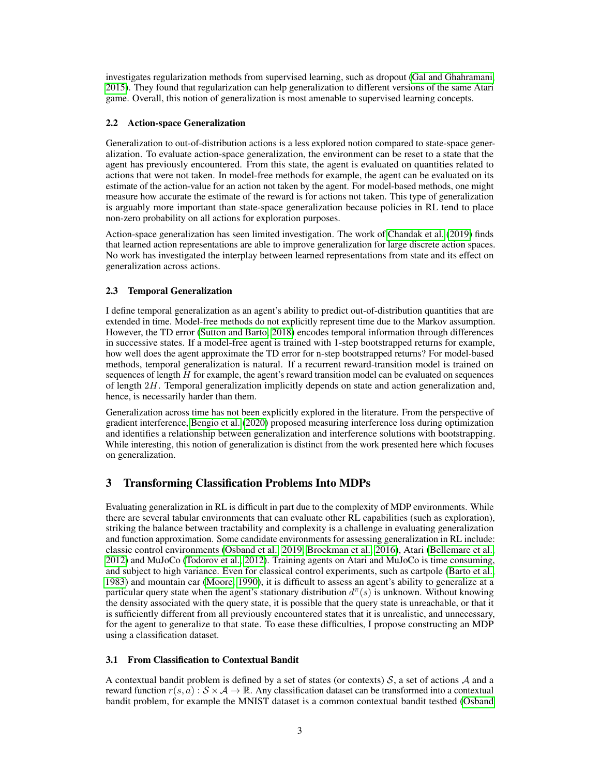investigates regularization methods from supervised learning, such as dropout [\(Gal and Ghahramani,](#page-5-7) [2015\)](#page-5-7). They found that regularization can help generalization to different versions of the same Atari game. Overall, this notion of generalization is most amenable to supervised learning concepts.

### 2.2 Action-space Generalization

Generalization to out-of-distribution actions is a less explored notion compared to state-space generalization. To evaluate action-space generalization, the environment can be reset to a state that the agent has previously encountered. From this state, the agent is evaluated on quantities related to actions that were not taken. In model-free methods for example, the agent can be evaluated on its estimate of the action-value for an action not taken by the agent. For model-based methods, one might measure how accurate the estimate of the reward is for actions not taken. This type of generalization is arguably more important than state-space generalization because policies in RL tend to place non-zero probability on all actions for exploration purposes.

Action-space generalization has seen limited investigation. The work of [Chandak et al.](#page-5-8) [\(2019\)](#page-5-8) finds that learned action representations are able to improve generalization for large discrete action spaces. No work has investigated the interplay between learned representations from state and its effect on generalization across actions.

# 2.3 Temporal Generalization

I define temporal generalization as an agent's ability to predict out-of-distribution quantities that are extended in time. Model-free methods do not explicitly represent time due to the Markov assumption. However, the TD error [\(Sutton and Barto, 2018\)](#page-6-0) encodes temporal information through differences in successive states. If a model-free agent is trained with 1-step bootstrapped returns for example, how well does the agent approximate the TD error for n-step bootstrapped returns? For model-based methods, temporal generalization is natural. If a recurrent reward-transition model is trained on sequences of length  $H$  for example, the agent's reward transition model can be evaluated on sequences of length 2H. Temporal generalization implicitly depends on state and action generalization and, hence, is necessarily harder than them.

Generalization across time has not been explicitly explored in the literature. From the perspective of gradient interference, [Bengio et al.](#page-5-9) [\(2020\)](#page-5-9) proposed measuring interference loss during optimization and identifies a relationship between generalization and interference solutions with bootstrapping. While interesting, this notion of generalization is distinct from the work presented here which focuses on generalization.

# 3 Transforming Classification Problems Into MDPs

Evaluating generalization in RL is difficult in part due to the complexity of MDP environments. While there are several tabular environments that can evaluate other RL capabilities (such as exploration), striking the balance between tractability and complexity is a challenge in evaluating generalization and function approximation. Some candidate environments for assessing generalization in RL include: classic control environments [\(Osband et al., 2019;](#page-6-11) [Brockman et al., 2016\)](#page-5-10), Atari [\(Bellemare et al.,](#page-5-5) [2012\)](#page-5-5) and MuJoCo [\(Todorov et al., 2012\)](#page-6-12). Training agents on Atari and MuJoCo is time consuming, and subject to high variance. Even for classical control experiments, such as cartpole [\(Barto et al.,](#page-5-11) [1983\)](#page-5-11) and mountain car [\(Moore, 1990\)](#page-6-13), it is difficult to assess an agent's ability to generalize at a particular query state when the agent's stationary distribution  $d^{\pi}(s)$  is unknown. Without knowing the density associated with the query state, it is possible that the query state is unreachable, or that it is sufficiently different from all previously encountered states that it is unrealistic, and unnecessary, for the agent to generalize to that state. To ease these difficulties, I propose constructing an MDP using a classification dataset.

### 3.1 From Classification to Contextual Bandit

A contextual bandit problem is defined by a set of states (or contexts)  $S$ , a set of actions  $A$  and a reward function  $r(s, a) : S \times A \to \mathbb{R}$ . Any classification dataset can be transformed into a contextual bandit problem, for example the MNIST dataset is a common contextual bandit testbed [\(Osband](#page-6-11)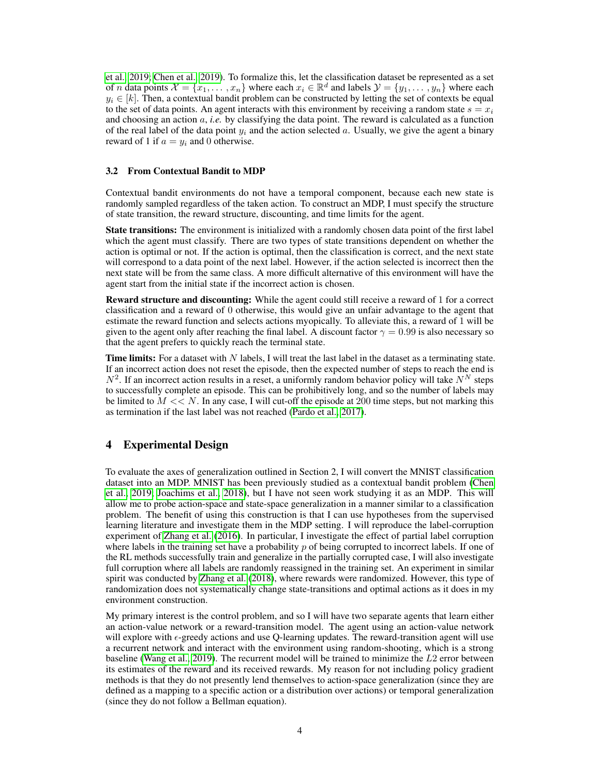[et al., 2019;](#page-6-11) [Chen et al., 2019\)](#page-5-12). To formalize this, let the classification dataset be represented as a set of *n* data points  $\mathcal{X} = \{x_1, \ldots, x_n\}$  where each  $x_i \in \mathbb{R}^d$  and labels  $\mathcal{Y} = \{y_1, \ldots, y_n\}$  where each  $y_i \in [k]$ . Then, a contextual bandit problem can be constructed by letting the set of contexts be equal to the set of data points. An agent interacts with this environment by receiving a random state  $s = x<sub>i</sub>$ and choosing an action a, *i.e.* by classifying the data point. The reward is calculated as a function of the real label of the data point  $y_i$  and the action selected a. Usually, we give the agent a binary reward of 1 if  $a = y_i$  and 0 otherwise.

#### 3.2 From Contextual Bandit to MDP

Contextual bandit environments do not have a temporal component, because each new state is randomly sampled regardless of the taken action. To construct an MDP, I must specify the structure of state transition, the reward structure, discounting, and time limits for the agent.

State transitions: The environment is initialized with a randomly chosen data point of the first label which the agent must classify. There are two types of state transitions dependent on whether the action is optimal or not. If the action is optimal, then the classification is correct, and the next state will correspond to a data point of the next label. However, if the action selected is incorrect then the next state will be from the same class. A more difficult alternative of this environment will have the agent start from the initial state if the incorrect action is chosen.

Reward structure and discounting: While the agent could still receive a reward of 1 for a correct classification and a reward of 0 otherwise, this would give an unfair advantage to the agent that estimate the reward function and selects actions myopically. To alleviate this, a reward of 1 will be given to the agent only after reaching the final label. A discount factor  $\gamma = 0.99$  is also necessary so that the agent prefers to quickly reach the terminal state.

**Time limits:** For a dataset with N labels, I will treat the last label in the dataset as a terminating state. If an incorrect action does not reset the episode, then the expected number of steps to reach the end is  $N^2$ . If an incorrect action results in a reset, a uniformly random behavior policy will take  $N^N$  steps to successfully complete an episode. This can be prohibitively long, and so the number of labels may be limited to  $M \ll N$ . In any case, I will cut-off the episode at 200 time steps, but not marking this as termination if the last label was not reached [\(Pardo et al., 2017\)](#page-6-14).

# 4 Experimental Design

To evaluate the axes of generalization outlined in Section 2, I will convert the MNIST classification dataset into an MDP. MNIST has been previously studied as a contextual bandit problem [\(Chen](#page-5-12) [et al., 2019;](#page-5-12) [Joachims et al., 2018\)](#page-6-15), but I have not seen work studying it as an MDP. This will allow me to probe action-space and state-space generalization in a manner similar to a classification problem. The benefit of using this construction is that I can use hypotheses from the supervised learning literature and investigate them in the MDP setting. I will reproduce the label-corruption experiment of [Zhang et al.](#page-6-6) [\(2016\)](#page-6-6). In particular, I investigate the effect of partial label corruption where labels in the training set have a probability  $p$  of being corrupted to incorrect labels. If one of the RL methods successfully train and generalize in the partially corrupted case, I will also investigate full corruption where all labels are randomly reassigned in the training set. An experiment in similar spirit was conducted by [Zhang et al.](#page-6-10) [\(2018\)](#page-6-10), where rewards were randomized. However, this type of randomization does not systematically change state-transitions and optimal actions as it does in my environment construction.

My primary interest is the control problem, and so I will have two separate agents that learn either an action-value network or a reward-transition model. The agent using an action-value network will explore with  $\epsilon$ -greedy actions and use Q-learning updates. The reward-transition agent will use a recurrent network and interact with the environment using random-shooting, which is a strong baseline [\(Wang et al., 2019\)](#page-6-16). The recurrent model will be trained to minimize the L2 error between its estimates of the reward and its received rewards. My reason for not including policy gradient methods is that they do not presently lend themselves to action-space generalization (since they are defined as a mapping to a specific action or a distribution over actions) or temporal generalization (since they do not follow a Bellman equation).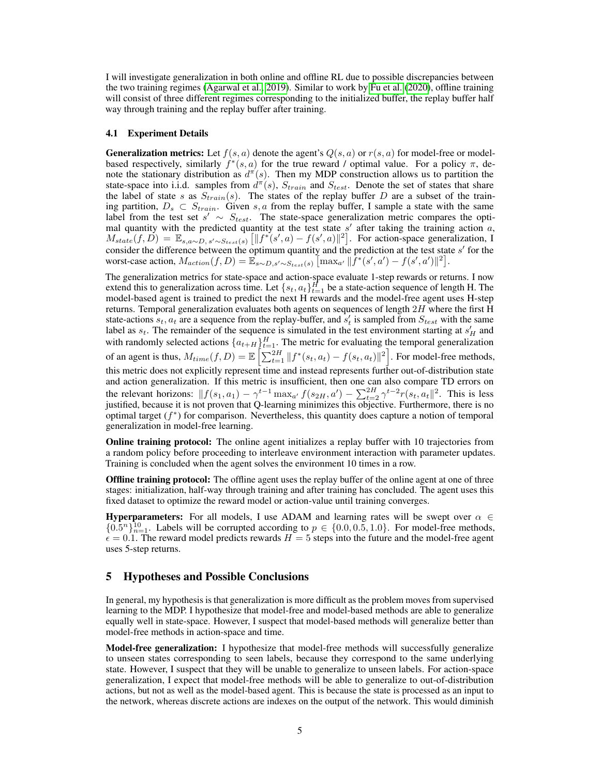I will investigate generalization in both online and offline RL due to possible discrepancies between the two training regimes [\(Agarwal et al., 2019\)](#page-5-13). Similar to work by [Fu et al.](#page-5-14) [\(2020\)](#page-5-14), offline training will consist of three different regimes corresponding to the initialized buffer, the replay buffer half way through training and the replay buffer after training.

#### 4.1 Experiment Details

**Generalization metrics:** Let  $f(s, a)$  denote the agent's  $Q(s, a)$  or  $r(s, a)$  for model-free or modelbased respectively, similarly  $f^*(s, a)$  for the true reward / optimal value. For a policy  $\pi$ , denote the stationary distribution as  $d^{\pi}(s)$ . Then my MDP construction allows us to partition the state-space into i.i.d. samples from  $d^{\pi}(s)$ ,  $S_{train}$  and  $S_{test}$ . Denote the set of states that share the label of state s as  $S_{train}(s)$ . The states of the replay buffer D are a subset of the training partition,  $D_s \,\subset\, S_{train}$ . Given s, a from the replay buffer, I sample a state with the same label from the test set  $s' \sim S_{test}$ . The state-space generalization metric compares the optimal quantity with the predicted quantity at the test state  $s'$  after taking the training action  $a$ ,  $M_{state}(f, D) = \mathbb{E}_{s,a \sim D, s' \sim S_{test}(s)} \left[ ||f^*(s', a) - f(s', a)||^2 \right]$ . For action-space generalization, I consider the difference between the optimum quantity and the prediction at the test state  $s'$  for the worst-case action,  $M_{action}(f, D) = \mathbb{E}_{s \sim D, s' \sim S_{test}(s)} \left[ \max_{a'} ||f^*(s', a') - f(s', a')||^2 \right].$ 

The generalization metrics for state-space and action-space evaluate 1-step rewards or returns. I now extend this to generalization across time. Let  $\{s_t, a_t\}_{t=1}^H$  be a state-action sequence of length H. The model-based agent is trained to predict the next H rewards and the model-free agent uses H-step returns. Temporal generalization evaluates both agents on sequences of length  $2H$  where the first H state-actions  $s_t$ ,  $a_t$  are a sequence from the replay-buffer, and  $s'_t$  is sampled from  $S_{test}$  with the same label as  $s_t$ . The remainder of the sequence is simulated in the test environment starting at  $s'_H$  and with randomly selected actions  $\{a_{t+H}\}_{t=1}^H$ . The metric for evaluating the temporal generalization of an agent is thus,  $M_{time}(f, D) = \mathbb{E}\left[\sum_{t=1}^{2H} ||f^*(s_t, a_t) - f(s_t, a_t)||^2\right]$ . For model-free methods, this metric does not explicitly represent time and instead represents further out-of-distribution state and action generalization. If this metric is insufficient, then one can also compare TD errors on the relevant horizons:  $||f(s_1, a_1) - \gamma^{t-1} \max_{a'} f(s_{2H}, a') - \sum_{t=2}^{2H} \gamma^{t-2} r(s_t, a_t||^2$ . This is less justified, because it is not proven that Q-learning minimizes this objective. Furthermore, there is no optimal target  $(f^*)$  for comparison. Nevertheless, this quantity does capture a notion of temporal generalization in model-free learning.

Online training protocol: The online agent initializes a replay buffer with 10 trajectories from a random policy before proceeding to interleave environment interaction with parameter updates. Training is concluded when the agent solves the environment 10 times in a row.

Offline training protocol: The offline agent uses the replay buffer of the online agent at one of three stages: initialization, half-way through training and after training has concluded. The agent uses this fixed dataset to optimize the reward model or action-value until training converges.

**Hyperparameters:** For all models, I use ADAM and learning rates will be swept over  $\alpha \in$  ${0.5<sup>n</sup>}_{n=1}^{10}$ . Labels will be corrupted according to  $p \in \{0.0, 0.5, 1.0\}$ . For model-free methods,  $\epsilon = 0.1$ . The reward model predicts rewards  $H = 5$  steps into the future and the model-free agent uses 5-step returns.

### 5 Hypotheses and Possible Conclusions

In general, my hypothesis is that generalization is more difficult as the problem moves from supervised learning to the MDP. I hypothesize that model-free and model-based methods are able to generalize equally well in state-space. However, I suspect that model-based methods will generalize better than model-free methods in action-space and time.

**Model-free generalization:** I hypothesize that model-free methods will successfully generalize to unseen states corresponding to seen labels, because they correspond to the same underlying state. However, I suspect that they will be unable to generalize to unseen labels. For action-space generalization, I expect that model-free methods will be able to generalize to out-of-distribution actions, but not as well as the model-based agent. This is because the state is processed as an input to the network, whereas discrete actions are indexes on the output of the network. This would diminish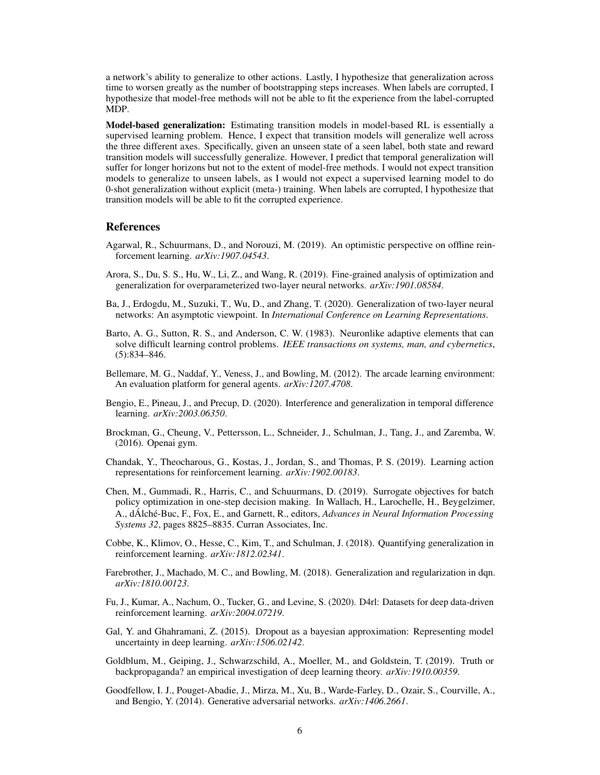a network's ability to generalize to other actions. Lastly, I hypothesize that generalization across time to worsen greatly as the number of bootstrapping steps increases. When labels are corrupted, I hypothesize that model-free methods will not be able to fit the experience from the label-corrupted MDP.

Model-based generalization: Estimating transition models in model-based RL is essentially a supervised learning problem. Hence, I expect that transition models will generalize well across the three different axes. Specifically, given an unseen state of a seen label, both state and reward transition models will successfully generalize. However, I predict that temporal generalization will suffer for longer horizons but not to the extent of model-free methods. I would not expect transition models to generalize to unseen labels, as I would not expect a supervised learning model to do 0-shot generalization without explicit (meta-) training. When labels are corrupted, I hypothesize that transition models will be able to fit the corrupted experience.

### References

- <span id="page-5-13"></span>Agarwal, R., Schuurmans, D., and Norouzi, M. (2019). An optimistic perspective on offline reinforcement learning. *arXiv:1907.04543*.
- <span id="page-5-1"></span>Arora, S., Du, S. S., Hu, W., Li, Z., and Wang, R. (2019). Fine-grained analysis of optimization and generalization for overparameterized two-layer neural networks. *arXiv:1901.08584*.
- <span id="page-5-2"></span>Ba, J., Erdogdu, M., Suzuki, T., Wu, D., and Zhang, T. (2020). Generalization of two-layer neural networks: An asymptotic viewpoint. In *International Conference on Learning Representations*.
- <span id="page-5-11"></span>Barto, A. G., Sutton, R. S., and Anderson, C. W. (1983). Neuronlike adaptive elements that can solve difficult learning control problems. *IEEE transactions on systems, man, and cybernetics*, (5):834–846.
- <span id="page-5-5"></span>Bellemare, M. G., Naddaf, Y., Veness, J., and Bowling, M. (2012). The arcade learning environment: An evaluation platform for general agents. *arXiv:1207.4708*.
- <span id="page-5-9"></span>Bengio, E., Pineau, J., and Precup, D. (2020). Interference and generalization in temporal difference learning. *arXiv:2003.06350*.
- <span id="page-5-10"></span>Brockman, G., Cheung, V., Pettersson, L., Schneider, J., Schulman, J., Tang, J., and Zaremba, W. (2016). Openai gym.
- <span id="page-5-8"></span>Chandak, Y., Theocharous, G., Kostas, J., Jordan, S., and Thomas, P. S. (2019). Learning action representations for reinforcement learning. *arXiv:1902.00183*.
- <span id="page-5-12"></span>Chen, M., Gummadi, R., Harris, C., and Schuurmans, D. (2019). Surrogate objectives for batch policy optimization in one-step decision making. In Wallach, H., Larochelle, H., Beygelzimer, A., dÁlché-Buc, F., Fox, E., and Garnett, R., editors, *Advances in Neural Information Processing Systems 32*, pages 8825–8835. Curran Associates, Inc.
- <span id="page-5-4"></span>Cobbe, K., Klimov, O., Hesse, C., Kim, T., and Schulman, J. (2018). Quantifying generalization in reinforcement learning. *arXiv:1812.02341*.
- <span id="page-5-6"></span>Farebrother, J., Machado, M. C., and Bowling, M. (2018). Generalization and regularization in dqn. *arXiv:1810.00123*.
- <span id="page-5-14"></span>Fu, J., Kumar, A., Nachum, O., Tucker, G., and Levine, S. (2020). D4rl: Datasets for deep data-driven reinforcement learning. *arXiv:2004.07219*.
- <span id="page-5-7"></span>Gal, Y. and Ghahramani, Z. (2015). Dropout as a bayesian approximation: Representing model uncertainty in deep learning. *arXiv:1506.02142*.
- <span id="page-5-3"></span>Goldblum, M., Geiping, J., Schwarzschild, A., Moeller, M., and Goldstein, T. (2019). Truth or backpropaganda? an empirical investigation of deep learning theory. *arXiv:1910.00359*.
- <span id="page-5-0"></span>Goodfellow, I. J., Pouget-Abadie, J., Mirza, M., Xu, B., Warde-Farley, D., Ozair, S., Courville, A., and Bengio, Y. (2014). Generative adversarial networks. *arXiv:1406.2661*.